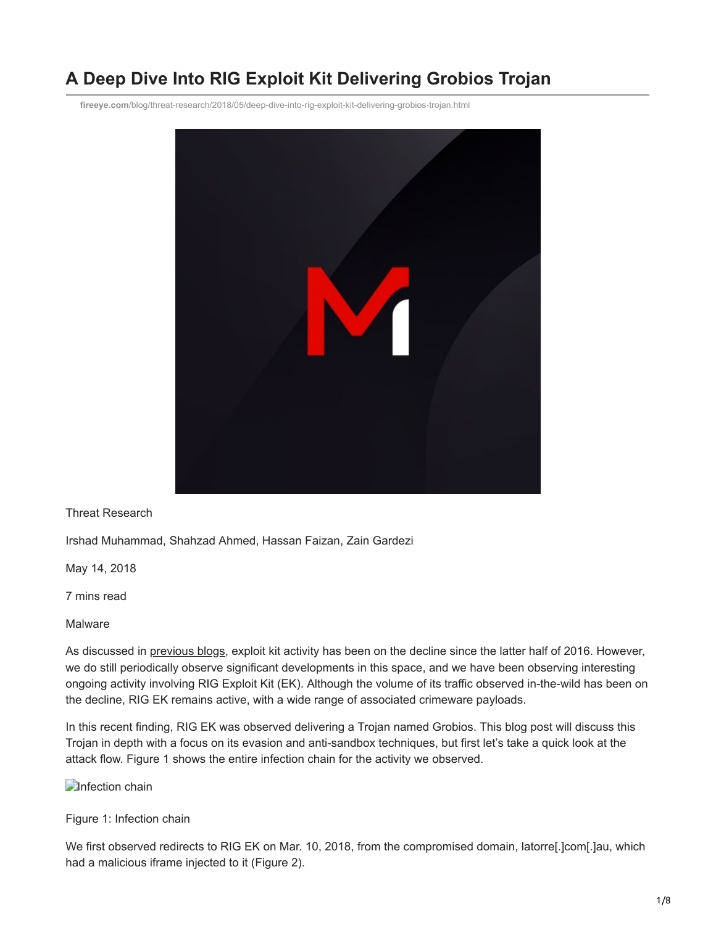# **A Deep Dive Into RIG Exploit Kit Delivering Grobios Trojan**

**fireeye.com**[/blog/threat-research/2018/05/deep-dive-into-rig-exploit-kit-delivering-grobios-trojan.html](https://www.fireeye.com/blog/threat-research/2018/05/deep-dive-into-rig-exploit-kit-delivering-grobios-trojan.html)



Threat Research

Irshad Muhammad, Shahzad Ahmed, Hassan Faizan, Zain Gardezi

May 14, 2018

7 mins read

Malware

As discussed in [previous blogs](https://www.fireeye.com/blog/threat-research/2017/10/magniber-ransomware-infects-only-the-right-people.html), exploit kit activity has been on the decline since the latter half of 2016. However, we do still periodically observe significant developments in this space, and we have been observing interesting ongoing activity involving RIG Exploit Kit (EK). Although the volume of its traffic observed in-the-wild has been on the decline, RIG EK remains active, with a wide range of associated crimeware payloads.

In this recent finding, RIG EK was observed delivering a Trojan named Grobios. This blog post will discuss this Trojan in depth with a focus on its evasion and anti-sandbox techniques, but first let's take a quick look at the attack flow. Figure 1 shows the entire infection chain for the activity we observed.

**Infection chain** 

Figure 1: Infection chain

We first observed redirects to RIG EK on Mar. 10, 2018, from the compromised domain, latorre[.]com[.]au, which had a malicious iframe injected to it (Figure 2).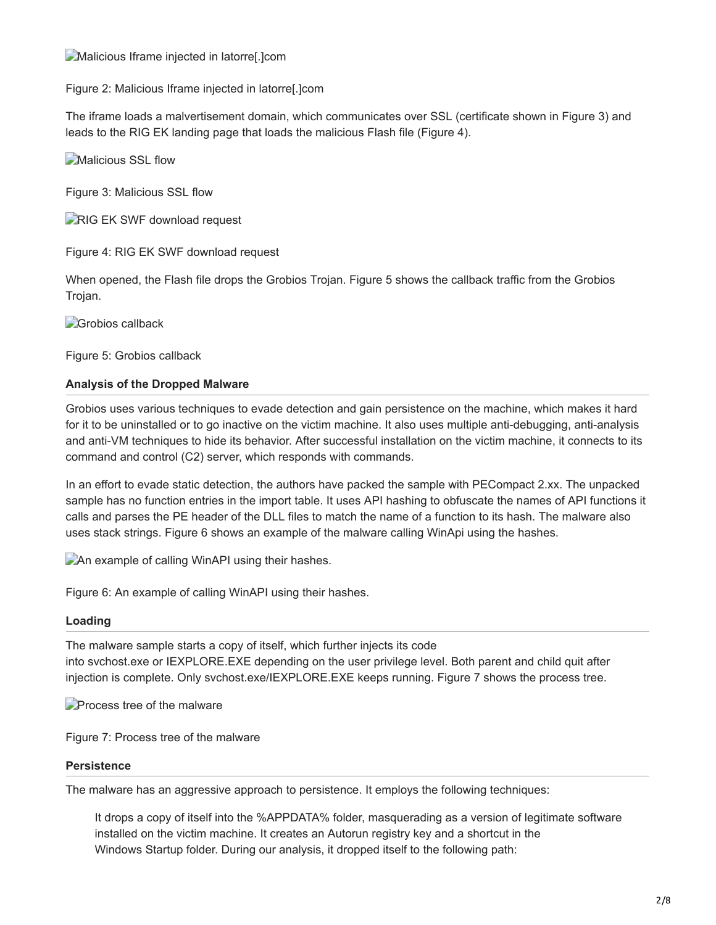**Malicious Iframe injected in latorre**. Jcom

Figure 2: Malicious Iframe injected in latorre[.]com

The iframe loads a malvertisement domain, which communicates over SSL (certificate shown in Figure 3) and leads to the RIG EK landing page that loads the malicious Flash file (Figure 4).

**Malicious SSL flow** 

Figure 3: Malicious SSL flow

**RIG EK SWF download request** 

Figure 4: RIG EK SWF download request

When opened, the Flash file drops the Grobios Trojan. Figure 5 shows the callback traffic from the Grobios Trojan.

**Grobios callback** 

Figure 5: Grobios callback

## **Analysis of the Dropped Malware**

Grobios uses various techniques to evade detection and gain persistence on the machine, which makes it hard for it to be uninstalled or to go inactive on the victim machine. It also uses multiple anti-debugging, anti-analysis and anti-VM techniques to hide its behavior. After successful installation on the victim machine, it connects to its command and control (C2) server, which responds with commands.

In an effort to evade static detection, the authors have packed the sample with PECompact 2.xx. The unpacked sample has no function entries in the import table. It uses API hashing to obfuscate the names of API functions it calls and parses the PE header of the DLL files to match the name of a function to its hash. The malware also uses stack strings. Figure 6 shows an example of the malware calling WinApi using the hashes.

An example of calling WinAPI using their hashes.

Figure 6: An example of calling WinAPI using their hashes.

## **Loading**

The malware sample starts a copy of itself, which further injects its code into svchost.exe or IEXPLORE.EXE depending on the user privilege level. Both parent and child quit after injection is complete. Only svchost.exe/IEXPLORE.EXE keeps running. Figure 7 shows the process tree.

**Process tree of the malware** 

Figure 7: Process tree of the malware

## **Persistence**

The malware has an aggressive approach to persistence. It employs the following techniques:

It drops a copy of itself into the %APPDATA% folder, masquerading as a version of legitimate software installed on the victim machine. It creates an Autorun registry key and a shortcut in the Windows Startup folder. During our analysis, it dropped itself to the following path: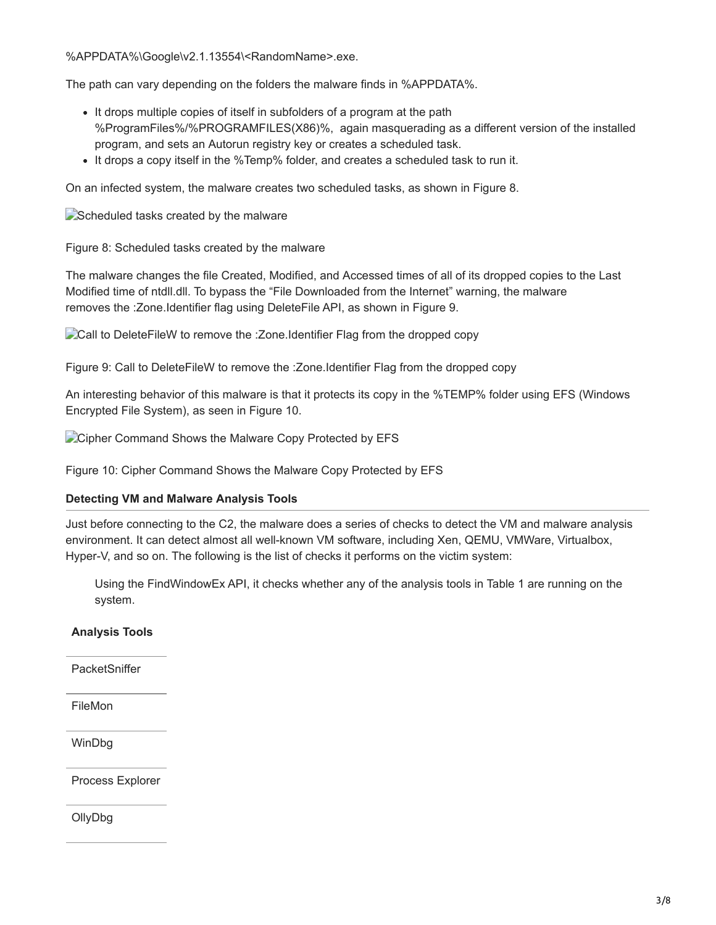%APPDATA%\Google\v2.1.13554\<RandomName>.exe.

The path can vary depending on the folders the malware finds in %APPDATA%.

- It drops multiple copies of itself in subfolders of a program at the path %ProgramFiles%/%PROGRAMFILES(X86)%, again masquerading as a different version of the installed program, and sets an Autorun registry key or creates a scheduled task.
- It drops a copy itself in the %Temp% folder, and creates a scheduled task to run it.

On an infected system, the malware creates two scheduled tasks, as shown in Figure 8.

Scheduled tasks created by the malware

Figure 8: Scheduled tasks created by the malware

The malware changes the file Created, Modified, and Accessed times of all of its dropped copies to the Last Modified time of ntdll.dll. To bypass the "File Downloaded from the Internet" warning, the malware removes the :Zone.Identifier flag using DeleteFile API, as shown in Figure 9.

Call to DeleteFileW to remove the :Zone.Identifier Flag from the dropped copy

Figure 9: Call to DeleteFileW to remove the :Zone.Identifier Flag from the dropped copy

An interesting behavior of this malware is that it protects its copy in the %TEMP% folder using EFS (Windows Encrypted File System), as seen in Figure 10.

Cipher Command Shows the Malware Copy Protected by EFS

Figure 10: Cipher Command Shows the Malware Copy Protected by EFS

#### **Detecting VM and Malware Analysis Tools**

Just before connecting to the C2, the malware does a series of checks to detect the VM and malware analysis environment. It can detect almost all well-known VM software, including Xen, QEMU, VMWare, Virtualbox, Hyper-V, and so on. The following is the list of checks it performs on the victim system:

Using the FindWindowEx API, it checks whether any of the analysis tools in Table 1 are running on the system.

#### **Analysis Tools**

**PacketSniffer** 

FileMon

WinDbg

Process Explorer

OllyDbg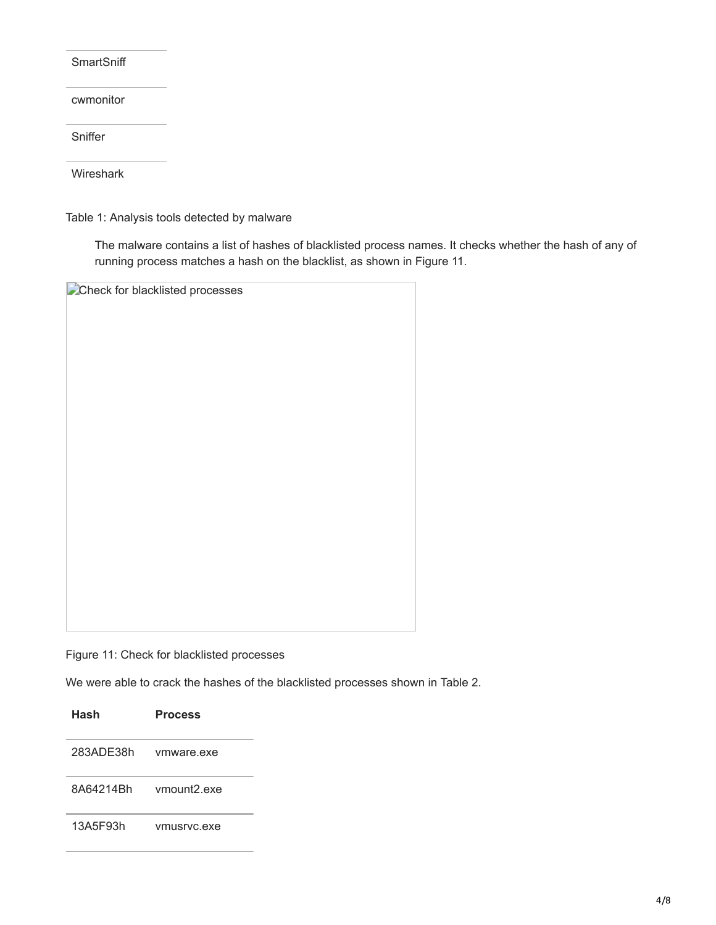**SmartSniff** 

cwmonitor

**Sniffer** 

Wireshark

Table 1: Analysis tools detected by malware

The malware contains a list of hashes of blacklisted process names. It checks whether the hash of any of running process matches a hash on the blacklist, as shown in Figure 11.

**Check for blacklisted processes** 

Figure 11: Check for blacklisted processes

We were able to crack the hashes of the blacklisted processes shown in Table 2.

| Hash      | <b>Process</b>          |
|-----------|-------------------------|
| 283ADE38h | ymware exe              |
| 8A64214Rh | ymount <sub>2</sub> exe |
| 13A5F93h  | ymusryc.exe             |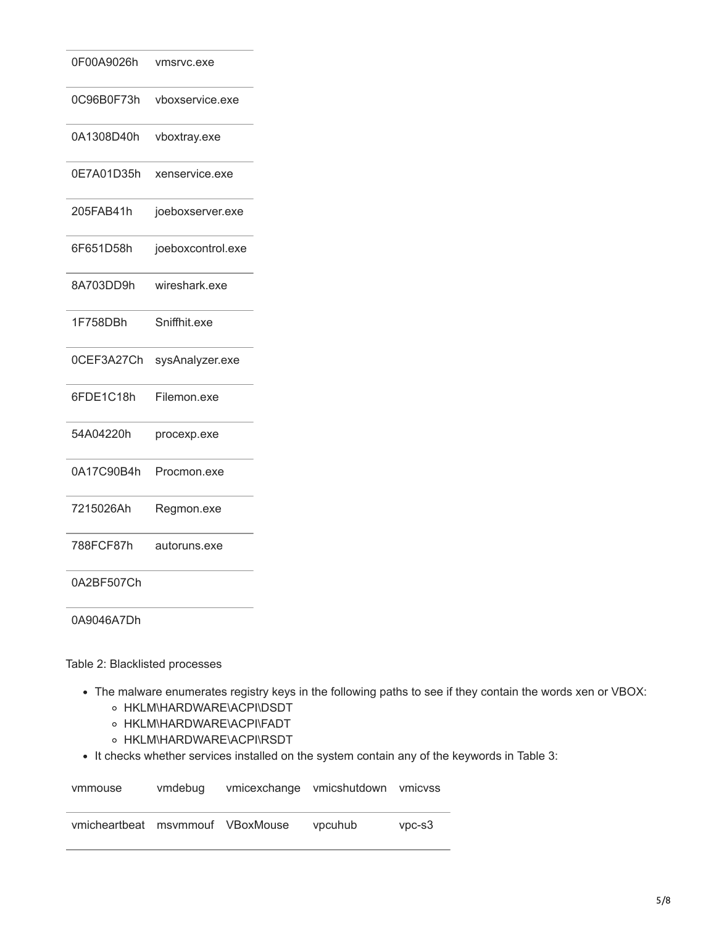| 0F00A9026h | vmsrvc.exe        |
|------------|-------------------|
| 0C96B0F73h | vboxservice.exe   |
| 0A1308D40h | vboxtray.exe      |
| 0E7A01D35h | xenservice.exe    |
| 205FAB41h  | joeboxserver.exe  |
| 6F651D58h  | joeboxcontrol.exe |
| 8A703DD9h  | wireshark.exe     |
| 1F758DBh   | Sniffhit.exe      |
| 0CEF3A27Ch | sysAnalyzer.exe   |
| 6FDE1C18h  | Filemon.exe       |
| 54A04220h  | procexp.exe       |
| 0A17C90B4h | Procmon.exe       |
| 7215026Ah  | Regmon.exe        |
| 788FCF87h  | autoruns.exe      |
| 0A2BF507Ch |                   |

0A9046A7Dh

Table 2: Blacklisted processes

- The malware enumerates registry keys in the following paths to see if they contain the words xen or VBOX:
	- o HKLM\HARDWARE\ACPI\DSDT
	- o HKLM\HARDWARE\ACPI\FADT
	- o HKLM\HARDWARE\ACPI\RSDT
- It checks whether services installed on the system contain any of the keywords in Table 3:

| vmmouse                          | vmdebug | vmicexchange vmicshutdown vmicvss |          |
|----------------------------------|---------|-----------------------------------|----------|
| vmicheartbeat msymmouf VBoxMouse |         | vpcuhub                           | $VDC-S3$ |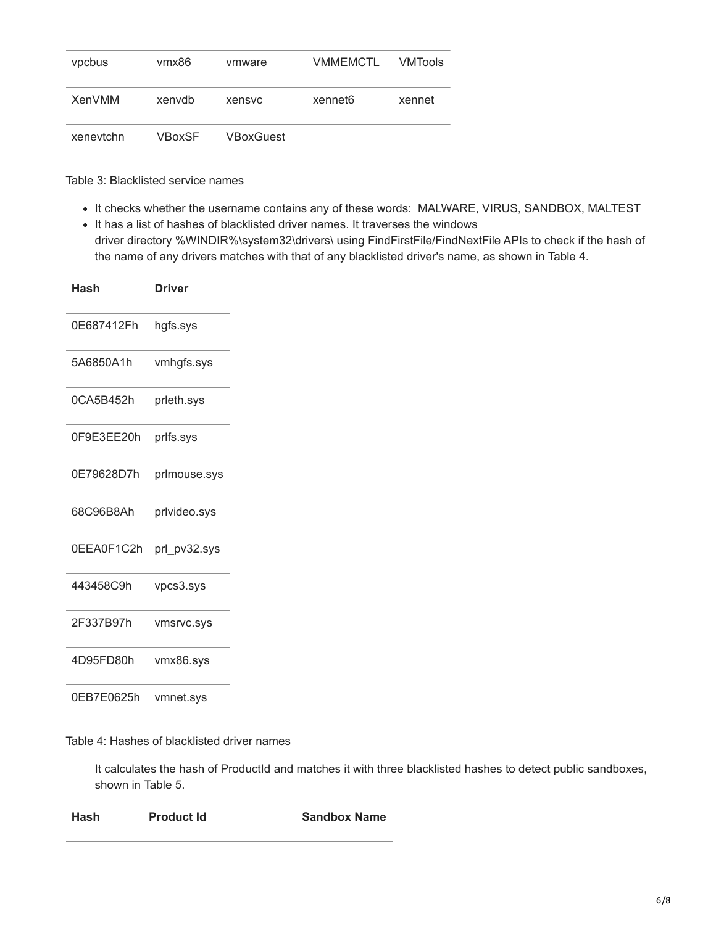| vpcbus        | vmx86         | vmware    | <b>VMMEMCTL</b>     | <b>VMTools</b> |
|---------------|---------------|-----------|---------------------|----------------|
| <b>XenVMM</b> | xenvdb        | xensyc    | xennet <sub>6</sub> | xennet         |
| xenevtchn     | <b>VBoxSF</b> | VBoxGuest |                     |                |

Table 3: Blacklisted service names

- It checks whether the username contains any of these words: MALWARE, VIRUS, SANDBOX, MALTEST
- It has a list of hashes of blacklisted driver names. It traverses the windows driver directory %WINDIR%\system32\drivers\ using FindFirstFile/FindNextFile APIs to check if the hash of the name of any drivers matches with that of any blacklisted driver's name, as shown in Table 4.

| Hash       | <b>Driver</b> |
|------------|---------------|
| 0E687412Fh | hgfs.sys      |
| 5A6850A1h  | vmhgfs.sys    |
| 0CA5B452h  | prleth.sys    |
| 0F9E3EE20h | prlfs.sys     |
| 0E79628D7h | prlmouse.sys  |
| 68C96B8Ah  | prlvideo.sys  |
| 0EEA0F1C2h | prl pv32.sys  |
| 443458C9h  | vpcs3.sys     |
| 2F337B97h  | vmsrvc.sys    |
| 4D95FD80h  | vmx86.sys     |
| 0EB7E0625h | vmnet.sys     |

Table 4: Hashes of blacklisted driver names

It calculates the hash of ProductId and matches it with three blacklisted hashes to detect public sandboxes, shown in Table 5.

| Hash | <b>Product Id</b> | <b>Sandbox Name</b> |
|------|-------------------|---------------------|
|------|-------------------|---------------------|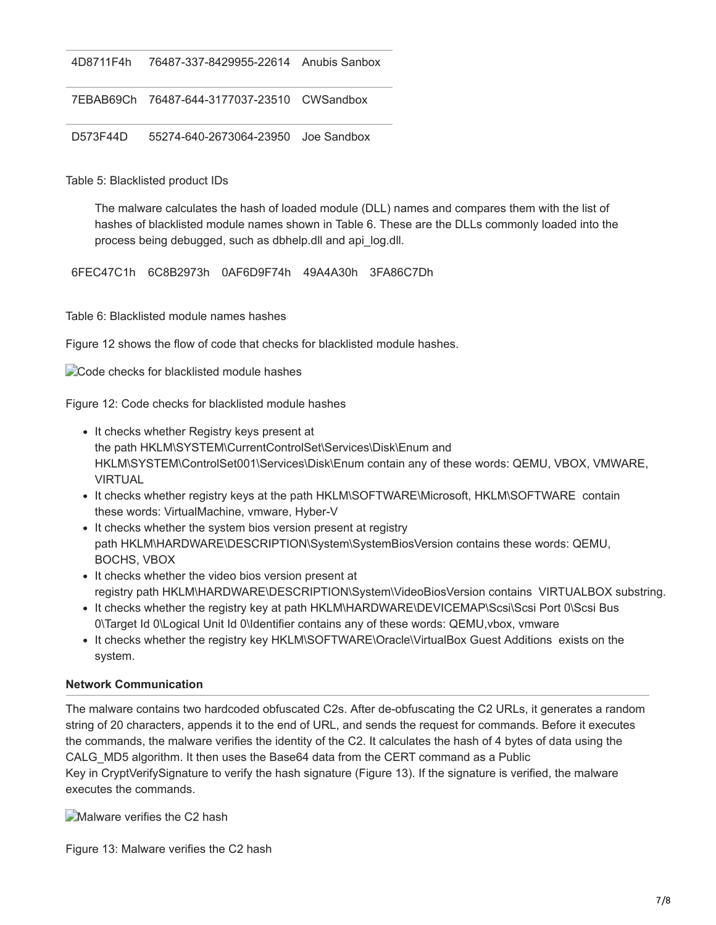4D8711F4h 76487-337-8429955-22614 Anubis Sanbox

7EBAB69Ch 76487-644-3177037-23510 CWSandbox

D573F44D 55274-640-2673064-23950 Joe Sandbox

Table 5: Blacklisted product IDs

The malware calculates the hash of loaded module (DLL) names and compares them with the list of hashes of blacklisted module names shown in Table 6. These are the DLLs commonly loaded into the process being debugged, such as dbhelp.dll and api\_log.dll.

6FEC47C1h 6C8B2973h 0AF6D9F74h 49A4A30h 3FA86C7Dh

Table 6: Blacklisted module names hashes

Figure 12 shows the flow of code that checks for blacklisted module hashes.

Code checks for blacklisted module hashes

Figure 12: Code checks for blacklisted module hashes

- It checks whether Registry keys present at the path HKLM\SYSTEM\CurrentControlSet\Services\Disk\Enum and HKLM\SYSTEM\ControlSet001\Services\Disk\Enum contain any of these words: QEMU, VBOX, VMWARE, VIRTUAL
- It checks whether registry keys at the path HKLM\SOFTWARE\Microsoft, HKLM\SOFTWARE contain these words: VirtualMachine, vmware, Hyber-V
- It checks whether the system bios version present at registry path HKLM\HARDWARE\DESCRIPTION\System\SystemBiosVersion contains these words: QEMU, BOCHS, VBOX
- It checks whether the video bios version present at registry path HKLM\HARDWARE\DESCRIPTION\System\VideoBiosVersion contains VIRTUALBOX substring.
- It checks whether the registry key at path HKLM\HARDWARE\DEVICEMAP\Scsi\Scsi Port 0\Scsi Bus 0\Target Id 0\Logical Unit Id 0\Identifier contains any of these words: QEMU,vbox, vmware
- It checks whether the registry key HKLM\SOFTWARE\Oracle\VirtualBox Guest Additions exists on the system.

#### **Network Communication**

The malware contains two hardcoded obfuscated C2s. After de-obfuscating the C2 URLs, it generates a random string of 20 characters, appends it to the end of URL, and sends the request for commands. Before it executes the commands, the malware verifies the identity of the C2. It calculates the hash of 4 bytes of data using the CALG\_MD5 algorithm. It then uses the Base64 data from the CERT command as a Public Key in CryptVerifySignature to verify the hash signature (Figure 13). If the signature is verified, the malware executes the commands.

Malware verifies the C2 hash

Figure 13: Malware verifies the C2 hash